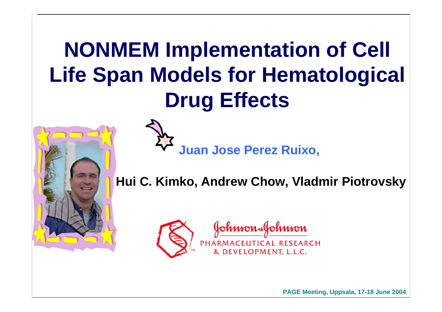#### **NONMEM Implementation of Cell Life Span Models for Hematological Drug Effects**



**Juan Jose Perez Ruixo,** 

**Hui C. Kimko, Andrew Chow, Vladmir Piotrovsky**



**PAGE Meeting, Uppsala, 1 7-18 June 2004**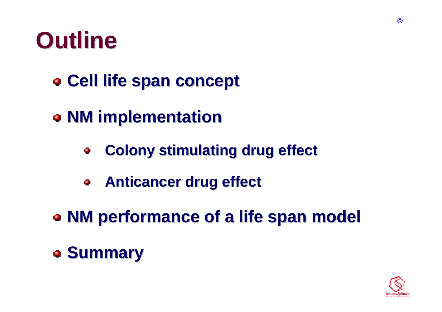

- **Cell life span concept Cell life span concept**
- **NM implementation NM implementation**
	- **Colony stimulating drug effect Colony stimulating drug effect**  $\bullet$
	- **Anticancer drug effect Anticancer drug effect**  $\bullet$
- **NM performance of a life span model NM performance of a life span model**
- **Summary Summary**

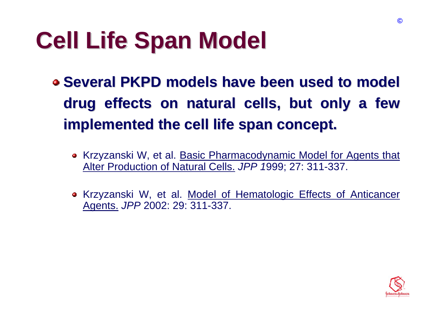### **Cell Life Span Model Cell Life Span Model**

 $\bullet$  **Several PKPD models have been used to model** drug effects on natural cells, but only a few **implemented the cell life span concept. implemented the cell life span concept.**

- Krzyzanski W, et al. Basic Pharmacodynamic Model for Agents that Alter Production of Natural Cells. *JPP 1*999; 27: 311-337.
- Krzyzanski W, et al. <u>Model of Hematologic Effects of Anticancer</u> Agents. *JPP* 2002: 29: 311-337.

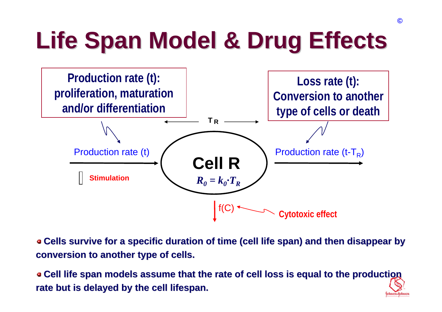# **Life Span Model & Drug Effects Life Span Model & Drug Effects**



**Cells survive for a specific duration of time (cell life span) and then disappear by conversion to another type of cells.** 

**Cell life span models assume that the rate of cell loss is equa Cell life span models assume that the rate of cell loss is equal to the production l to the production**  rate but is delayed by the cell lifespan.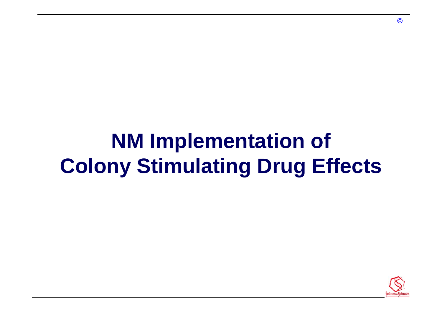#### **NM Implementation of Colony Stimulating Drug Effects**

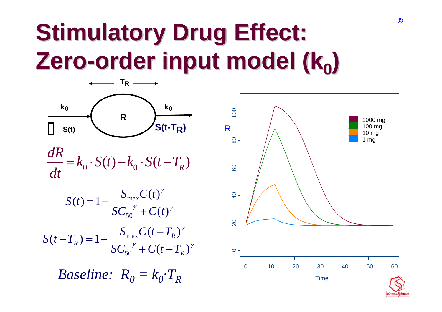#### **Stimulatory Drug Effect: Zero -order input model (k<sub>0</sub>)**



$$
\frac{dR}{dt} = k_0 \cdot S(t) - k_0 \cdot S(t - T_R)
$$

$$
S(t) = 1 + \frac{S_{\text{max}}C(t)^{\gamma}}{SC_{50}^{\gamma} + C(t)^{\gamma}}
$$

$$
S(t - T_R) = 1 + \frac{S_{\text{max}}C(t - T_R)^{\gamma}}{SC_{50}^{\gamma} + C(t - T_R)^{\gamma}}
$$

 $\emph{Baseline: }$   $\emph{R}_{0} = k_{0}{\cdot}T_{R}$ 

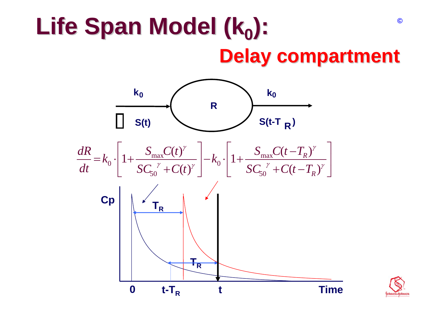#### **Life Span Model (ko): Delay compartment Delay compartment ©**



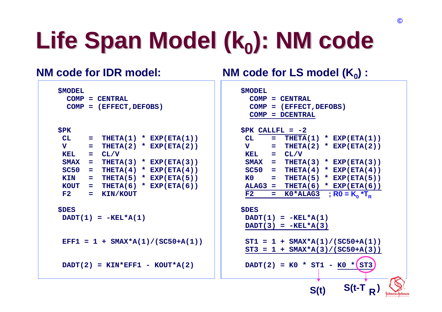# Life Span Model (k<sub>0</sub>): NM code

#### **NM code for IDR model:**

```
$MODEL
 COMP = CENTRALCOMP = (EFFECT,DEFOBS)
$PK
CL = THETA(1) * EXP(ETA(1))V = THETA(2) * EXP(ETA(2))KEL = CL/VSMAX = THETA(3) * EXP(ETA(3))
SC50 = THETA(4) * EXP(ETA(4))KIN = THETA(5) * EXP(ETA(5))KOUT = THETA(6) * EXP(ETA(6))F2 = KIN/KOUT
$DES
DADT(1) = -KEL*A(1)EFF1 = 1 + SMAX*A(1)/(SC50+A(1))
 DADT(2) = KIN*EFF1 -
KOUT*A(2)
```
#### **NM code for LS model (K 0) :**

| <b>\$MODEL</b>            |                  |                 |      |  |                    |                              |  |
|---------------------------|------------------|-----------------|------|--|--------------------|------------------------------|--|
| $COMP = CENTRAL$          |                  |                 |      |  |                    |                              |  |
| $COMP = (EFFECT, DEFOBS)$ |                  |                 |      |  |                    |                              |  |
| <b>COMP</b>               | $=$              | <b>DCENTRAL</b> |      |  |                    |                              |  |
|                           |                  |                 |      |  |                    |                              |  |
| $SPK$ CALLFL = $-2$       |                  |                 |      |  |                    |                              |  |
| CL                        | Ξ.               |                 |      |  |                    | THETA $(1)$ * EXP $(ETA(1))$ |  |
| $\mathbf v$               | <u>— названа</u> |                 |      |  |                    | THETA $(2)$ * EXP $(ETA(2))$ |  |
| <b>KEL</b>                | <b>Service</b>   | CL/V            |      |  |                    |                              |  |
| $SMAX =$                  |                  |                 |      |  |                    | THETA(3) $*$ EXP(ETA(3))     |  |
| $SC50 =$                  |                  | THETA(4)        |      |  |                    | * EXP(ETA(4))                |  |
| K <sub>0</sub>            | <b>SILLER</b>    |                 |      |  |                    | THETA $(5)$ * EXP $(ETA(5))$ |  |
| $ALAG3 =$                 |                  |                 |      |  |                    | THETA $(6)$ * EXP $(ETA(6))$ |  |
| F2                        | - 1              | K0*ALAG3        |      |  | ; $R0 = K_0 * T_R$ |                              |  |
|                           |                  |                 |      |  |                    |                              |  |
| <b>\$DES</b>              |                  |                 |      |  |                    |                              |  |
| $DADT(1) = -KEL*A(1)$     |                  |                 |      |  |                    |                              |  |
| $DADT(3) = -KEL*A(3)$     |                  |                 |      |  |                    |                              |  |
|                           |                  |                 |      |  |                    |                              |  |
| $ST1 = 1$                 |                  |                 |      |  |                    | + $SMAX*A(1)/(SC50+A(1))$    |  |
| ST3<br>=                  | $1 -$            |                 |      |  |                    | + $SMAX*A(3)/(SC50+A(3))$    |  |
|                           |                  |                 |      |  |                    |                              |  |
| $DADT(2) = K0 * ST1 - K0$ |                  |                 |      |  | $\star$            | ST <sub>3</sub>              |  |
|                           |                  |                 |      |  |                    |                              |  |
|                           |                  |                 |      |  |                    |                              |  |
|                           |                  |                 | S(t) |  | S(t-T              |                              |  |
|                           |                  |                 |      |  |                    |                              |  |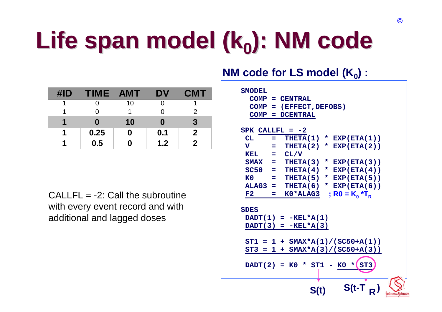# Life span model (k<sub>0</sub>): NM code

| $\sharp$ ID | <b>TIME</b> | <b>AMT</b> | DV  | <b>CMT</b>   |
|-------------|-------------|------------|-----|--------------|
|             |             | 10         |     |              |
|             |             |            |     | 2            |
|             | n           | 10         | 0   | 3            |
| Л           | 0.25        | O          | 0.1 | $\mathbf{2}$ |
|             | 0.5         |            | 1.2 | $\bf{2}$     |

 $CALLFL = -2$ : Call the subroutine with every event record and with additional and lagged doses

#### **NM code for LS model (K 0) :**

| <b>\$MODEL</b><br>$COMP =$<br><b>COMP</b><br>÷ | $COMP = CENTRAL$<br>(EFFECT, DEFOBS)<br><b>DCENTRAL</b>             |
|------------------------------------------------|---------------------------------------------------------------------|
| $$PK$ CALLFL = $-2$                            |                                                                     |
| CL<br>=                                        | THETA $(1)$ * EXP $(ETA(1))$                                        |
| $\overline{\mathbf{V}}$<br>$=$                 | THETA(2)<br>* $EXP(ETA(2))$                                         |
| KEL<br>$\alpha = 1$                            | CL/V                                                                |
|                                                | $SMAX = THETA(3)$<br>* $EXP(ETA(3))$                                |
| $SC50 =$                                       | THETA(4)<br>* EXP(ETA(4))                                           |
| K <sub>0</sub><br>$\equiv$ $\equiv$            | THETA $(5)$ * EXP $(ETA(5))$                                        |
| $ALAG3 =$                                      | THETA(6)<br>* EXP(ETA(6))                                           |
| F2<br>=                                        | ; R0 = $K_0$ *T <sub>R</sub><br>$KO*ALAG3$                          |
| <b>\$DES</b>                                   | $DADT(1) = -KEL*A(1)$<br>$DADT(3) = -KEL*A(3)$                      |
|                                                |                                                                     |
| ST3<br>1<br>$=$                                | $ST1 = 1 + SMAX*A(1) / (SC50+A(1))$<br>$SMAX*A(3)/(SC50+A(3))$<br>÷ |
|                                                |                                                                     |
|                                                | $DADT(2) = K0 * ST1$<br>ST <sub>3</sub><br><b>K0</b><br>$\star$ (   |
|                                                | S(t-T<br>S(t)                                                       |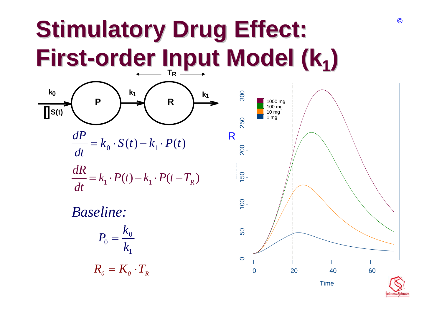#### **Stimulatory Drug Effect:** First-order Input Model (k<sub>1</sub>) **T**



$$
\frac{dP}{dt} = k_0 \cdot S(t) - k_1 \cdot P(t)
$$

$$
\frac{dR}{dt} = k_1 \cdot P(t) - k_1 \cdot P(t - T_R)
$$

*Baseline:*

$$
P_0 = \frac{k_0}{k_1}
$$

$$
R_0 = K_0 \cdot T_R
$$

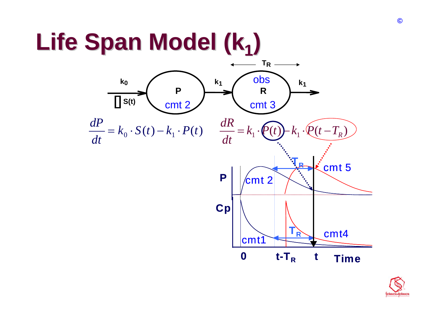## **Life Span Model (k Life Span Model (k1)**



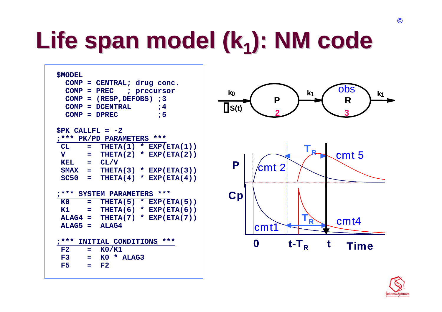## Life span model (k<sub>1</sub>): NM code

| <b>\$MODEL</b><br>$COMP = CENTRAL; drug conc.$<br>$COMP = PREC$<br>; precursor<br>$COMP = (RESP, DEFOBS)$ ; 3<br><b>COMP</b><br>= DCENTRAL<br>74<br>, 5<br>$COMP = DPREC$                                                                                                                                                                                                                                                                                                                                                 | ODS<br>$k_{0}$<br>k <sub>1</sub><br>$k_1$<br>$\mathsf{P}$<br>R<br>$\prod S(t)$                               |
|---------------------------------------------------------------------------------------------------------------------------------------------------------------------------------------------------------------------------------------------------------------------------------------------------------------------------------------------------------------------------------------------------------------------------------------------------------------------------------------------------------------------------|--------------------------------------------------------------------------------------------------------------|
| $SPK$ CALLFL = $-2$<br>;*** PK/PD PARAMETERS ***<br>THETA $(1)$ * EXP $(ETA(1))$<br>CL<br>$\equiv$<br>$\mathbf v$<br>THETA $(2)$ * EXP $(ETA(2))$<br>$\equiv$<br><b>KEL</b><br>CL/V<br>and the<br><b>SMAX</b><br>THETA $(3)$ * EXP(ETA $(3)$ )<br>$\mathbf{m}$<br><b>SC50</b><br>THETA $(4)$ * EXP $(ETA(4))$<br><b>CONTRACTOR</b><br>*** SYSTEM PARAMETERS ***<br>K0<br>THETA $(5)$ * EXP $(ETA(5))$<br>$=$<br>K1<br>THETA $(6)$ * EXP $(ETA(6))$<br>$=$<br>$ALAG4 =$<br>THETA $(7)$ * EXP $(ETA(7))$<br>$ALAG5 = ALAG4$ | R<br>$cmt$ 5<br>P<br>$\mathsf{\small cm}{\sf t}$ 2<br>Cp<br>cm <sub>t4</sub><br>$\overrightarrow{R}$<br>cmt1 |
| INITIAL CONDITIONS ***<br>$7***$<br>F2<br>K0/K1<br>$=$<br>F3<br>KO * ALAG3<br>$=$<br>F5<br>F2<br>$=$                                                                                                                                                                                                                                                                                                                                                                                                                      | 0<br>$t-T_R$<br>t<br><b>Time</b>                                                                             |

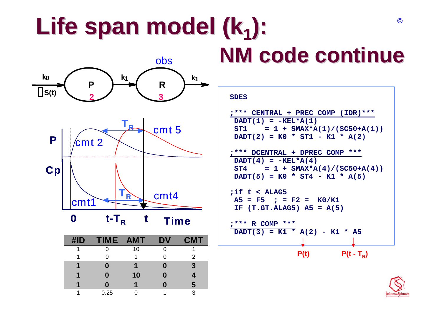### Life span model (k<sub>1</sub>):



| $\sharp$ ID | TIME AMT |    | DV | <b>CMT</b> |
|-------------|----------|----|----|------------|
|             |          | 10 |    |            |
|             |          |    |    | 2          |
|             |          |    |    | 3          |
| и           |          | 10 |    |            |
|             |          |    |    | 5          |
|             | 0.25     |    |    | 3          |

# **NM code continue NM code continue**

#### **\$DES**

```
;*** CENTRAL + PREC COMP (IDR)***
DADT(1) = -KEL*A(1)ST1 = 1 + SMAX*A(1)/(SC50+A(1))DADT(2) = K0 * ST1 -
K1 * A(2)
```

```
;*** DCENTRAL + DPREC COMP ***
DADT(4) = -KEL*A(4)ST4 = 1 + SMAX*A(4)/(SC50+A(4))DADT(5) = K0 * ST4 -
K1 * A(5)
```

```
;if t < ALAG5
A5 = F5 ; = F2 = K0/K1
IF (T.GT.ALAG5) A5 = A(5)
```

```
;*** R COMP ***
 DADT(3) = K1 * A(2) -
K1 * A5
```
**P(t) P(t - T R)**

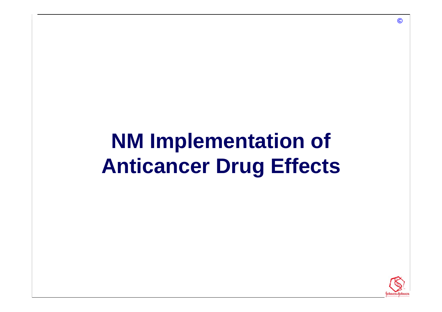#### **NM Implementation of Anticancer Drug Effects**

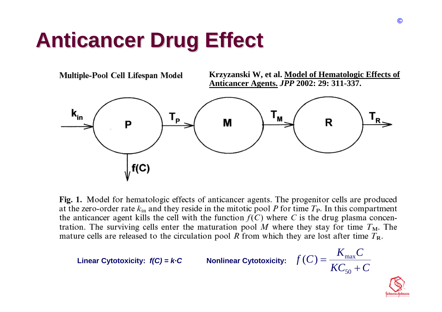#### **Anticancer Drug Effect Anticancer Drug Effect**



Fig. 1. Model for hematologic effects of anticancer agents. The progenitor cells are produced at the zero-order rate  $k_{\text{in}}$  and they reside in the mitotic pool P for time  $T_{\text{P}}$ . In this compartment the anticancer agent kills the cell with the function  $f(C)$  where C is the drug plasma concentration. The surviving cells enter the maturation pool  $M$  where they stay for time  $T_M$ . The mature cells are released to the circulation pool R from which they are lost after time  $T_R$ .

**Lin ear Cytotoxicity:** *f(C) = k·C* **Nonlinear C ytotoxicity:**  $f(C) = \frac{1}{K C_{50} + C}$  $f(C) = \frac{K_{\text{max}}C}{KC_{50} + C}$ = 50 $(C) = \frac{12}{\pi G}$ 

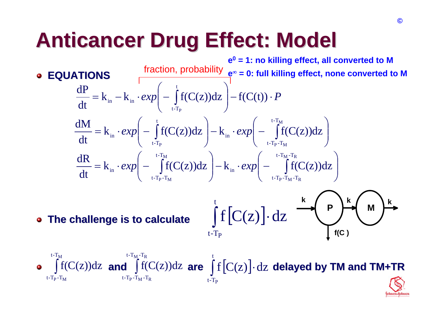#### **Anticancer Drug Effect: Model Anticancer Drug Effect: Model**

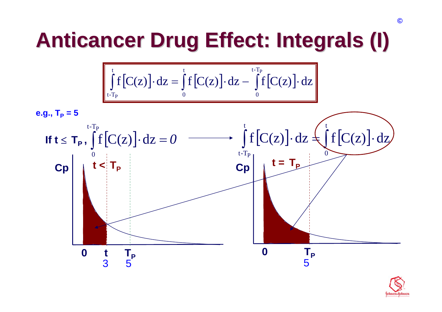#### **Anticancer Drug Effect: Integrals (I) Anticancer Drug Effect: Integrals (I)**

$$
\int_{t-T_P}^t f[C(z)] \cdot dz = \int_0^t f[C(z)] \cdot dz - \int_0^{t-T_P} f[C(z)] \cdot dz
$$



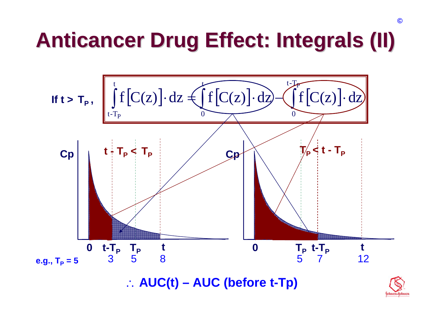#### **Anticancer Drug Effect: Integrals (II) Anticancer Drug Effect: Integrals (II)**



∴ **AUC(t) – AUC (before t-Tp)**

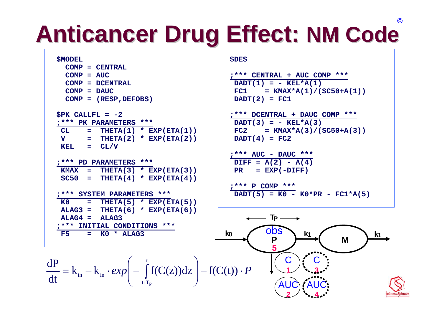### **Anticancer Drug Effect: NM Code**

#### **\$MODEL**

|              | $COMP = CENTRAL$           |                                     |
|--------------|----------------------------|-------------------------------------|
| $COMP = AUC$ |                            |                                     |
|              | $COMP = DCENTRAL$          |                                     |
|              | $COMP = DAUC$              |                                     |
|              | $COMP = (RESP, DEFOBS)$    |                                     |
|              |                            |                                     |
|              | $SPK$ CALLFL = $-2$        |                                     |
|              | ;*** PK PARAMETERS ***     |                                     |
|              |                            | $CL = THERA(1) * EXP(ETA(1))$       |
|              |                            | $V = THETA(2) * EXP(ETA(2))$        |
|              | KEL = $CL/V$               |                                     |
|              |                            |                                     |
|              | ;*** PD PARAMETERS ***     |                                     |
|              |                            | KMAX = THETA $(3)$ * EXP $(ETA(3))$ |
|              |                            | $SC50 = THETA(4) * EXP(ETA(4))$     |
|              |                            |                                     |
|              | ;*** SYSTEM PARAMETERS *** |                                     |
|              |                            | $KO = THETA(5) * EXP(ETA(5))$       |

**;\*\*\* INITIAL CONDITIONS \*\*\***

**ALAG4 = ALAG3**

**F5 = K0 \* ALAG3**

#### **\$DES**

```
;*** CENTRAL + AUC COMP ***
DADT(1) = - KEL*A(1)FC1 = KMAX*A(1)/(SC50+A(1))DADT(2) = FC1
```
**;\*\*\* DCENTRAL + DAUC COMP \*\*\***  $DADT(3) = - KEL*A(3)$ **FC2 = KMAX\*A(3)/(SC50+A(3)) DADT(4) = FC2**

```
;*** AUC - DAUC ***
DIFF = A(2) - A(4)PR = EXP(-DIFF)
```

```
;*** P COMP ***
DADT(5) = K0 - K0*PR - FC1*A(5)
```
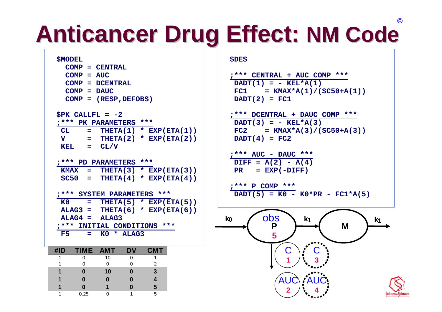### **Anticancer Drug Effect: NM Code**

#### **\$MODEL**

|                               | $COMP = CENTRAL$                    |  |  |
|-------------------------------|-------------------------------------|--|--|
| $COMP = AUC$                  |                                     |  |  |
|                               | $COMP = DCENTRAL$                   |  |  |
| $COMP = DAUC$                 |                                     |  |  |
|                               | $COMP = (RESP, DEFOBS)$             |  |  |
| $SPK$ CALLFL = $-2$           |                                     |  |  |
| ;*** PK PARAMETERS ***        |                                     |  |  |
| $CL = THETA(1) * EXP(ETA(1))$ |                                     |  |  |
|                               | $V = THETA(2) * EXP(ETA(2))$        |  |  |
| KEL = $CL/V$                  |                                     |  |  |
| ;*** PD PARAMETERS ***        |                                     |  |  |
|                               | KMAX = THETA $(3)$ * EXP $(ETA(3))$ |  |  |
|                               | $SC50 = THETA(4) * EXP(ETA(4))$     |  |  |
| ;*** SYSTEM PARAMETERS ***    |                                     |  |  |

**K0 = THETA(5) \* EXP(ETA(5)) ALAG3 = THETA(6) \* EXP(ETA(6)) ALAG4 = ALAG3;\*\*\* INITIAL CONDITIONS \*\*\* F5 = K0 \* ALAG3**

| #ID | TIME AMT |    | DV | <b>CMT</b> |
|-----|----------|----|----|------------|
|     |          | 10 |    |            |
|     |          | ∩  |    | 2          |
|     |          | 10 |    | 3          |
|     |          |    |    |            |
|     |          |    |    | 5          |
|     | 0.25     |    |    | 5          |

#### **\$DES**

```
;*** CENTRAL + AUC COMP ***
DADT(1) = -
KEL*A(1)
FC1 = KMAX*A(1)/(SC50+A(1))DADT(2) = FC1
```
**;\*\*\* DCENTRAL + DAUC COMP \*\*\* DADT(3) = - KEL\*A(3) FC2 = KMAX\*A(3)/(SC50+A(3)) DADT(4) = FC2**

$$
\frac{?*** \text{ AUC} - \text{DAUC} ***}{\text{DIFF} = \text{A}(2) - \text{A}(4)}
$$
  
PR = EXP(-DIFF)

$$
\frac{?*** \text{ } P \text{ } COMP \text{ } *** \text{ } \qquad \text{ } K0*PR - FCl*A(5)
$$

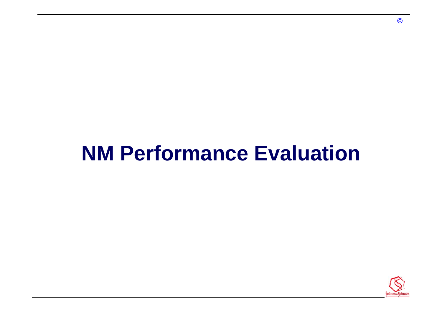#### **NM Performance Evaluation**

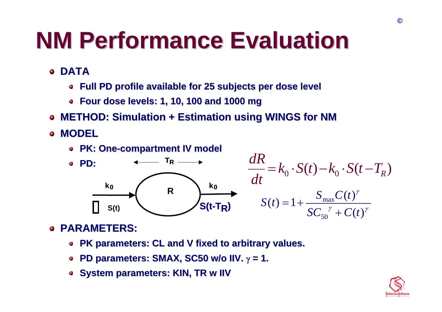### **NM Performance Evaluation NM Performance Evaluation**

- **DATA** $\bullet$ 
	- **Full PD profile available for 25 subjects per dose level Full PD profile available for 25 subjects per dose level**
	- **Four dose levels: 1, 10, 100 and 1000 mg Four dose levels: 1, 10, 100 and 1000 mg**
- **METHOD: Simulation + Estimation using WINGS for NM**  $\bullet$
- **MODEL**  $\blacksquare$ 
	- **PK: One PK: One -compartment IV model compartment IV model**



#### **PARAMETERS: PARAMETERS:**  $\bullet$

- **PK parameters: CL and V fixed to arbitrary values. PK parameters: CL and V fixed to arbitrary values.**
- **PD parameters: SMAX, SC50 w/o IIV.**  $\gamma$  = 1.  $\bullet$
- **s** System parameters: KIN, TR w IIV

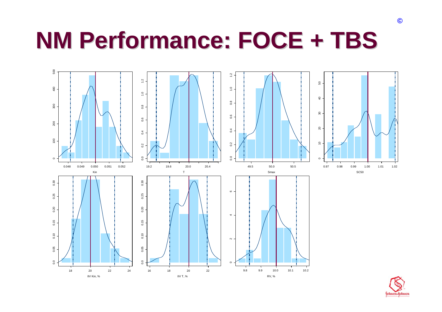### **NM Performance: FOCE + TBS NM Performance: FOCE + TBS**



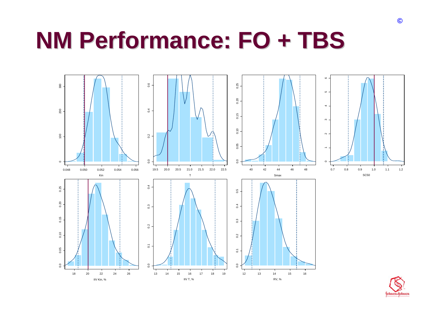### **NM Performance: FO + TBS NM Performance: FO + TBS**

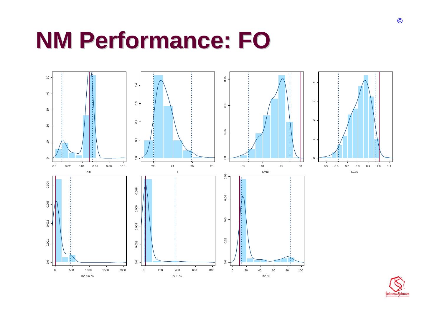#### **NM Performance: FO NM Performance: FO**



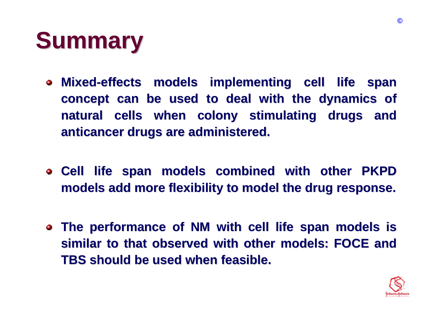

- **Mixed-effects models implementing cell life span effects models implementing cell life span concept can be used to deal with the dynamics of natural cells when colony stimulating drugs and natural cells when colony stimulating drugs and anticancer drugs are administered. anticancer drugs are administered.**
- $\bullet$  **Cell life span models combined with other PKPD models add more flexibility to model the drug response. models add more flexibility to model the drug response.**
- **The performance of NM with cell life span models is similar to that observed with other models: FOCE and TBS should be used when feasible. TBS should be used when feasible.**

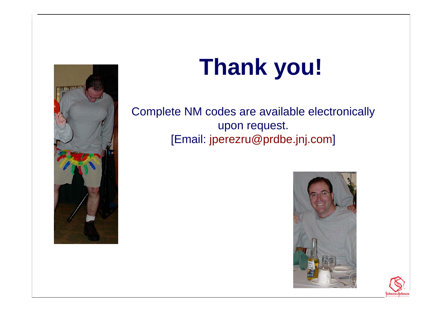

# **Thank you!**

Complete NM codes are available electronically upon request. [Email: jperezru@prdbe.jnj.co m]